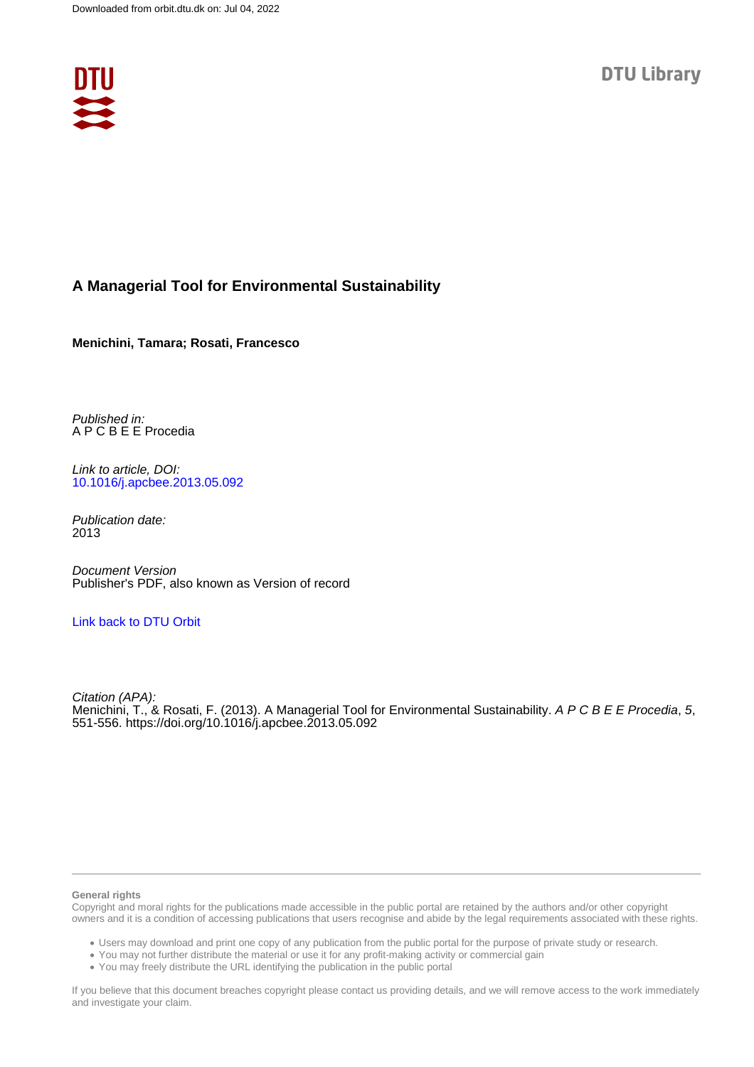

# **A Managerial Tool for Environmental Sustainability**

**Menichini, Tamara; Rosati, Francesco**

Published in: A P C B E E Procedia

Link to article, DOI: [10.1016/j.apcbee.2013.05.092](https://doi.org/10.1016/j.apcbee.2013.05.092)

Publication date: 2013

Document Version Publisher's PDF, also known as Version of record

# [Link back to DTU Orbit](https://orbit.dtu.dk/en/publications/ecc56d3a-620f-474d-9488-fb70a313e683)

Citation (APA): Menichini, T., & Rosati, F. (2013). A Managerial Tool for Environmental Sustainability. A P C B E E Procedia, 5, 551-556.<https://doi.org/10.1016/j.apcbee.2013.05.092>

#### **General rights**

Copyright and moral rights for the publications made accessible in the public portal are retained by the authors and/or other copyright owners and it is a condition of accessing publications that users recognise and abide by the legal requirements associated with these rights.

Users may download and print one copy of any publication from the public portal for the purpose of private study or research.

- You may not further distribute the material or use it for any profit-making activity or commercial gain
- You may freely distribute the URL identifying the publication in the public portal

If you believe that this document breaches copyright please contact us providing details, and we will remove access to the work immediately and investigate your claim.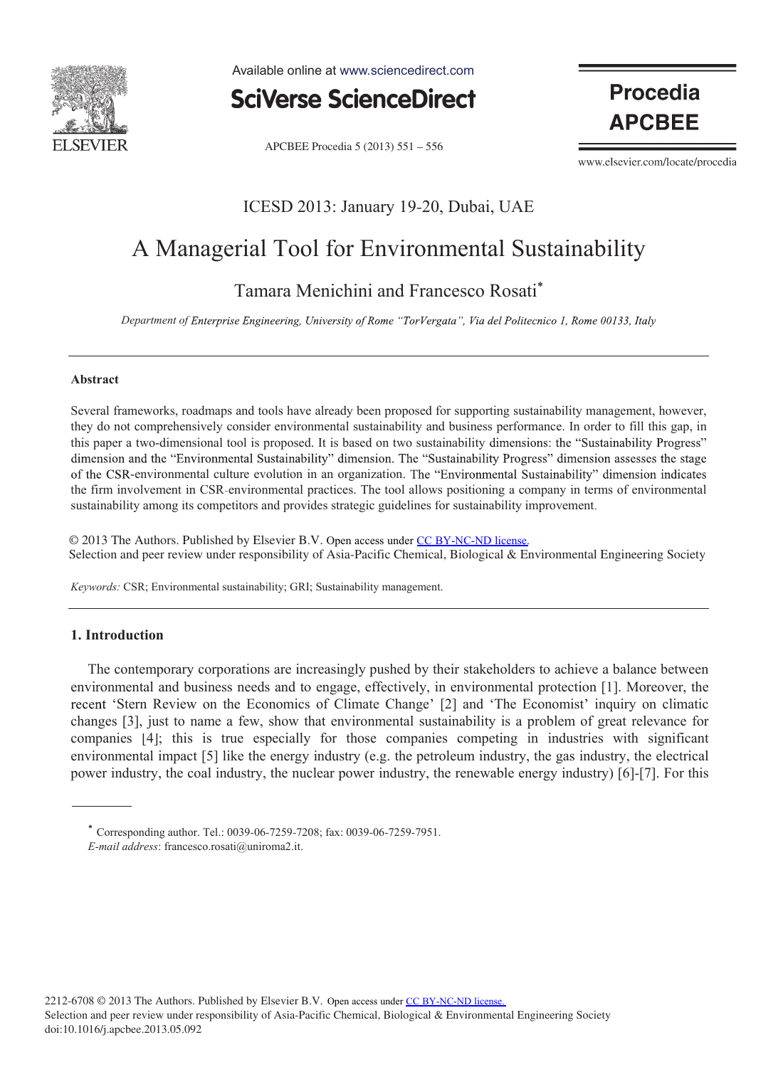

Available online at www.sciencedirect.com



**Procedia APCBEE** 

APCBEE Procedia 5 (2013) 551 - 556

www.elsevier.com/locate/procedia

# ICESD 2013: January 19-20, Dubai, UAE

# A Managerial Tool for Environmental Sustainability

# Tamara Menichini and Francesco Rosati

*Department of*

#### **Abstract**

Several frameworks, roadmaps and tools have already been proposed for supporting sustainability management, however, they do not comprehensively consider environmental sustainability and business performance. In order to fill this gap, in this paper a two-dimensional tool is proposed. It is based on two sustainability dimensions: the "Sustainability Progress" dimension and the "Environmental Sustainability" dimension. The "Sustainability Progress" dimension assesses the stage of the CSR-environmental culture evolution in an organization. The "Environmental Sustainability" dimension indicates the firm involvement in CSR-environmental practices. The tool allows positioning a company in terms of environmental sustainability among its competitors and provides strategic guidelines for sustainability improvement.

© 2013 The Authors. Published by Elsevier B.V. Open access under CC BY-NC-ND license. Selection and peer review under responsibility of Asia-Pacific Chemical, Biological & Environmental Engineering Society

*Keywords:* CSR; Environmental sustainability; GRI; Sustainability management.

## **1. Introduction**

The contemporary corporations are increasingly pushed by their stakeholders to achieve a balance between environmental and business needs and to engage, effectively, in environmental protection [1]. Moreover, the recent 'Stern Review on the Economics of Climate Change' [2] and 'The Economist' inquiry on climatic changes [3], just to name a few, show that environmental sustainability is a problem of great relevance for companies [4]; this is true especially for those companies competing in industries with significant environmental impact [5] like the energy industry (e.g. the petroleum industry, the gas industry, the electrical power industry, the coal industry, the nuclear power industry, the renewable energy industry) [6]-[7]. For this

2212-6708 © 2013 The Authors. Published by Elsevier B.V. Open access under [CC BY-NC-ND license.](http://creativecommons.org/licenses/by-nc-nd/3.0/)

Selection and peer review under responsibility of Asia-Pacific Chemical, Biological & Environmental Engineering Society doi: 10.1016/j.apcbee.2013.05.092

Corresponding author. Tel.: 0039-06-7259-7208; fax: 0039-06-7259-7951.

*E-mail address*: francesco.rosati@uniroma2.it.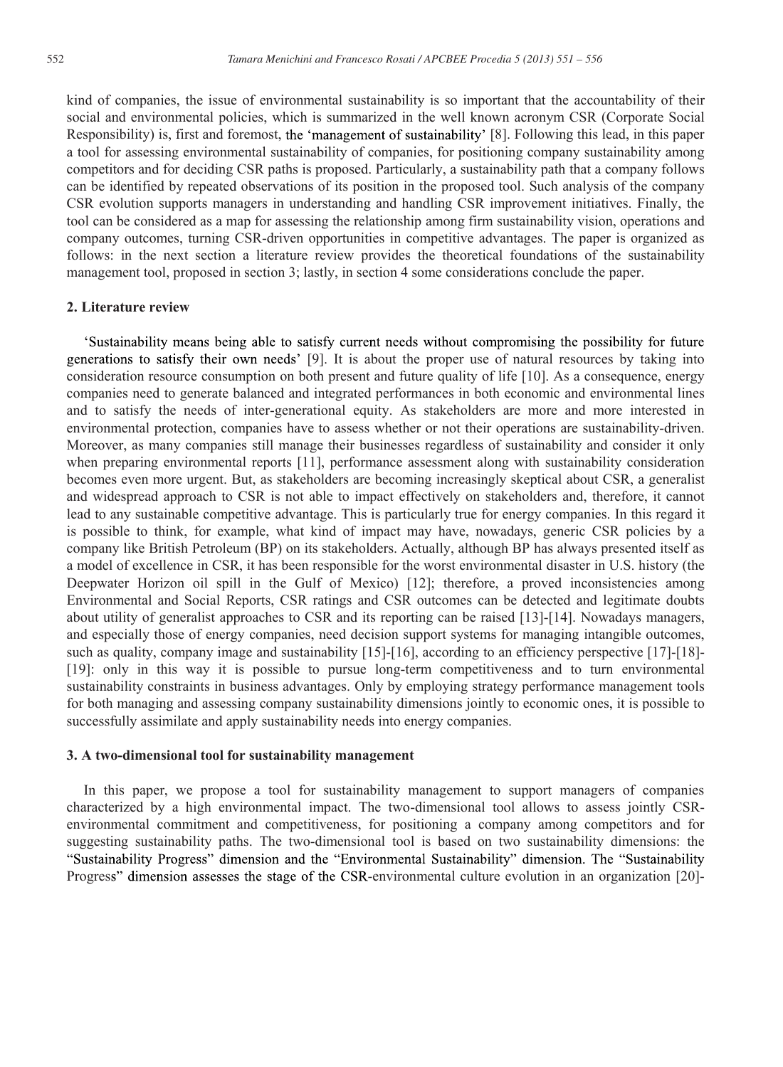kind of companies, the issue of environmental sustainability is so important that the accountability of their social and environmental policies, which is summarized in the well known acronym CSR (Corporate Social Responsibility) is, first and foremost, the 'management of sustainability' [8]. Following this lead, in this paper a tool for assessing environmental sustainability of companies, for positioning company sustainability among competitors and for deciding CSR paths is proposed. Particularly, a sustainability path that a company follows can be identified by repeated observations of its position in the proposed tool. Such analysis of the company CSR evolution supports managers in understanding and handling CSR improvement initiatives. Finally, the tool can be considered as a map for assessing the relationship among firm sustainability vision, operations and company outcomes, turning CSR-driven opportunities in competitive advantages. The paper is organized as follows: in the next section a literature review provides the theoretical foundations of the sustainability management tool, proposed in section 3; lastly, in section 4 some considerations conclude the paper.

## **2. Literature review**

'Sustainability means being able to satisfy current needs without compromising the possibility for future [9]. It is about the proper use of natural resources by taking into consideration resource consumption on both present and future quality of life [10]. As a consequence, energy companies need to generate balanced and integrated performances in both economic and environmental lines and to satisfy the needs of inter-generational equity. As stakeholders are more and more interested in environmental protection, companies have to assess whether or not their operations are sustainability-driven. Moreover, as many companies still manage their businesses regardless of sustainability and consider it only when preparing environmental reports [11], performance assessment along with sustainability consideration becomes even more urgent. But, as stakeholders are becoming increasingly skeptical about CSR, a generalist and widespread approach to CSR is not able to impact effectively on stakeholders and, therefore, it cannot lead to any sustainable competitive advantage. This is particularly true for energy companies. In this regard it is possible to think, for example, what kind of impact may have, nowadays, generic CSR policies by a company like British Petroleum (BP) on its stakeholders. Actually, although BP has always presented itself as a model of excellence in CSR, it has been responsible for the worst environmental disaster in U.S. history (the Deepwater Horizon oil spill in the Gulf of Mexico) [12]; therefore, a proved inconsistencies among Environmental and Social Reports, CSR ratings and CSR outcomes can be detected and legitimate doubts about utility of generalist approaches to CSR and its reporting can be raised [13]-[14]. Nowadays managers, and especially those of energy companies, need decision support systems for managing intangible outcomes, such as quality, company image and sustainability [15]-[16], according to an efficiency perspective [17]-[18]- [19]: only in this way it is possible to pursue long-term competitiveness and to turn environmental sustainability constraints in business advantages. Only by employing strategy performance management tools for both managing and assessing company sustainability dimensions jointly to economic ones, it is possible to successfully assimilate and apply sustainability needs into energy companies.

#### **3. A two-dimensional tool for sustainability management**

In this paper, we propose a tool for sustainability management to support managers of companies characterized by a high environmental impact. The two-dimensional tool allows to assess jointly CSRenvironmental commitment and competitiveness, for positioning a company among competitors and for suggesting sustainability paths. The two-dimensional tool is based on two sustainability dimensions: the "Sustainability Progress" dimension and the "Environmental Sustainability" dimension. The "Sustainability Progress" dimension assesses the stage of the CSR-environmental culture evolution in an organization [20]-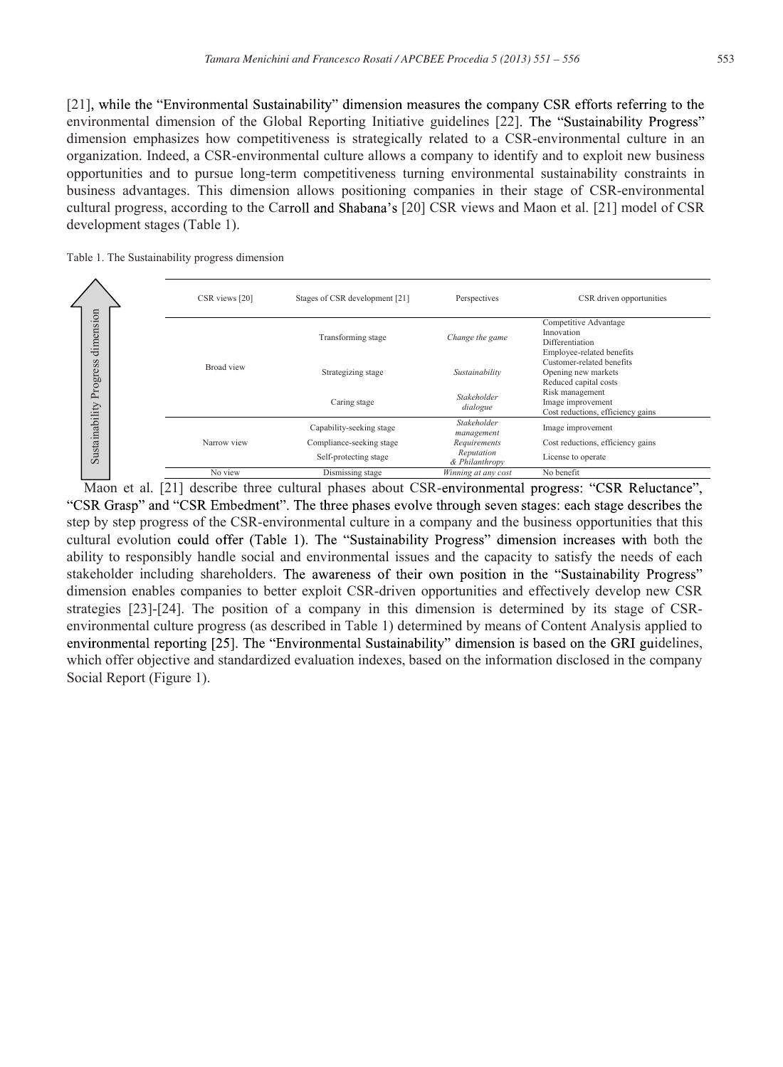[21], while the "Environmental Sustainability" dimension measures the company CSR efforts referring to the environmental dimension of the Global Reporting Initiative guidelines [22]. The "Sustainability Progress" dimension emphasizes how competitiveness is strategically related to a CSR-environmental culture in an organization. Indeed, a CSR-environmental culture allows a company to identify and to exploit new business opportunities and to pursue long-term competitiveness turning environmental sustainability constraints in business advantages. This dimension allows positioning companies in their stage of CSR-environmental cultural progress, according to the Carroll and Shabana's [20] CSR views and Maon et al. [21] model of CSR development stages (Table 1).

|  |  | Table 1. The Sustainability progress dimension |  |  |
|--|--|------------------------------------------------|--|--|
|--|--|------------------------------------------------|--|--|

|                                                                                  |  | CSR views [20] | Stages of CSR development [21] | Perspectives                 | CSR driven opportunities                                                            |
|----------------------------------------------------------------------------------|--|----------------|--------------------------------|------------------------------|-------------------------------------------------------------------------------------|
| dimension<br>$\infty$<br>$\infty$<br>rogre<br>≏<br>stainability<br>∍<br>$\omega$ |  | Broad view     | Transforming stage             | Change the game              | Competitive Advantage<br>Innovation<br>Differentiation<br>Employee-related benefits |
|                                                                                  |  |                | Strategizing stage             | Sustainability               | Customer-related benefits<br>Opening new markets<br>Reduced capital costs           |
|                                                                                  |  |                | Caring stage                   | Stakeholder<br>dialogue      | Risk management<br>Image improvement<br>Cost reductions, efficiency gains           |
|                                                                                  |  | Narrow view    | Capability-seeking stage       | Stakeholder<br>management    | Image improvement                                                                   |
|                                                                                  |  |                | Compliance-seeking stage       | Requirements                 | Cost reductions, efficiency gains                                                   |
|                                                                                  |  |                | Self-protecting stage          | Reputation<br>& Philanthropy | License to operate                                                                  |
|                                                                                  |  | No view        | Dismissing stage               | Winning at any cost          | No benefit                                                                          |

Maon et al. [21] describe three cultural phases about CSR-environmental progress: "CSR Reluctance", step by step progress of the CSR-environmental culture in a company and the business opportunities that this cultural evolution could offer (Table 1). The "Sustainability Progress" dimension increases with both the ability to responsibly handle social and environmental issues and the capacity to satisfy the needs of each stakeholder including shareholders. The awareness of their own position in the "Sustainability Progress" dimension enables companies to better exploit CSR-driven opportunities and effectively develop new CSR strategies [23]-[24]. The position of a company in this dimension is determined by its stage of CSRenvironmental culture progress (as described in Table 1) determined by means of Content Analysis applied to environmental reporting [25]. The "Environmental Sustainability" dimension is based on the GRI guidelines, which offer objective and standardized evaluation indexes, based on the information disclosed in the company France Controller Social Report (Figure 1).<br>
Social Report (Figure 1).<br>
Than et al. [21] desc<br>
Social Report (Figure 1).<br>
Subset of the subsetion of the stateholder including shind stakeholder including shind the state exp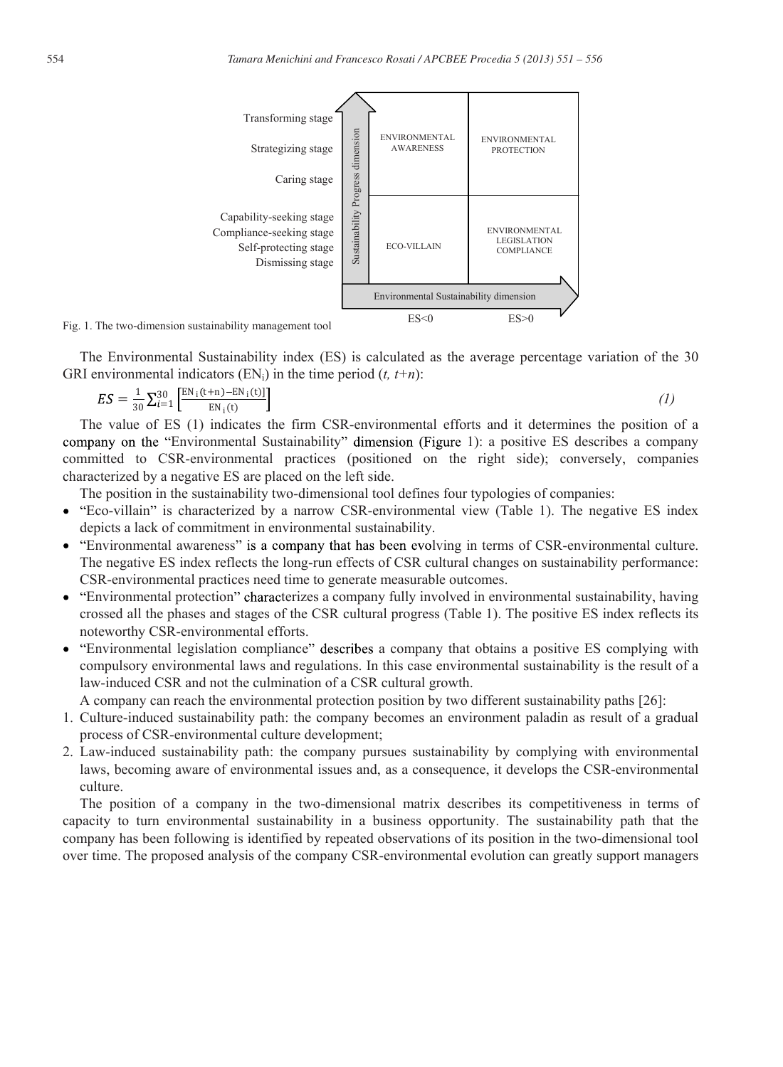

Fig. 1. The two-dimension sustainability management tool

The Environmental Sustainability index (ES) is calculated as the average percentage variation of the 30 GRI environmental indicators  $(EN_i)$  in the time period  $(t, t+n)$ :

$$
ES = \frac{1}{30} \sum_{i=1}^{30} \left[ \frac{EN_i(t+n) - EN_i(t)}{EN_i(t)} \right]
$$
 (1)

The value of ES (1) indicates the firm CSR-environmental efforts and it determines the position of a company on the "Environmental Sustainability" dimension (Figure 1): a positive ES describes a company committed to CSR-environmental practices (positioned on the right side); conversely, companies characterized by a negative ES are placed on the left side.

The position in the sustainability two-dimensional tool defines four typologies of companies:

- "Eco-villain" is characterized by a narrow CSR-environmental view (Table 1). The negative ES index depicts a lack of commitment in environmental sustainability.
- "Environmental awareness" is a company that has been evolving in terms of CSR-environmental culture. The negative ES index reflects the long-run effects of CSR cultural changes on sustainability performance: CSR-environmental practices need time to generate measurable outcomes.
- Environmental protection terizes a company fully involved in environmental sustainability, having crossed all the phases and stages of the CSR cultural progress (Table 1). The positive ES index reflects its noteworthy CSR-environmental efforts.
- "Environmental legislation compliance" describes a company that obtains a positive ES complying with  $\bullet$ compulsory environmental laws and regulations. In this case environmental sustainability is the result of a law-induced CSR and not the culmination of a CSR cultural growth.

A company can reach the environmental protection position by two different sustainability paths [26]:

- 1. Culture-induced sustainability path: the company becomes an environment paladin as result of a gradual process of CSR-environmental culture development;
- 2. Law-induced sustainability path: the company pursues sustainability by complying with environmental laws, becoming aware of environmental issues and, as a consequence, it develops the CSR-environmental culture.

The position of a company in the two-dimensional matrix describes its competitiveness in terms of capacity to turn environmental sustainability in a business opportunity. The sustainability path that the company has been following is identified by repeated observations of its position in the two-dimensional tool over time. The proposed analysis of the company CSR-environmental evolution can greatly support managers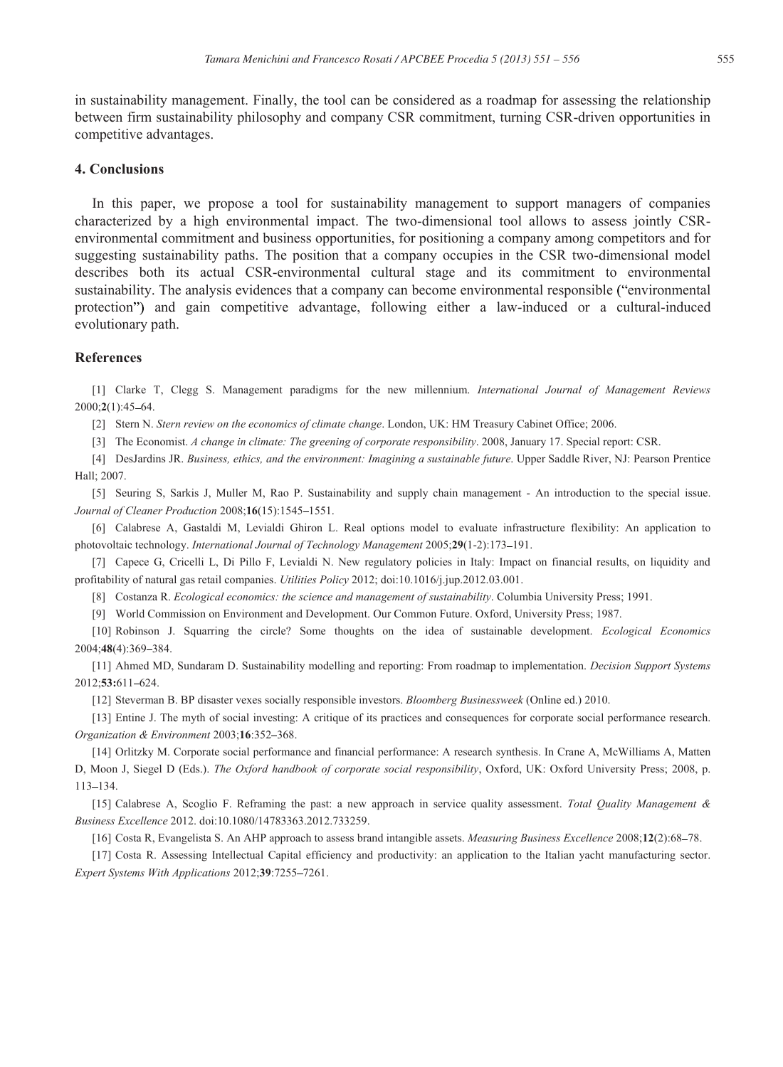in sustainability management. Finally, the tool can be considered as a roadmap for assessing the relationship between firm sustainability philosophy and company CSR commitment, turning CSR-driven opportunities in competitive advantages.

## **4. Conclusions**

In this paper, we propose a tool for sustainability management to support managers of companies characterized by a high environmental impact. The two-dimensional tool allows to assess jointly CSRenvironmental commitment and business opportunities, for positioning a company among competitors and for suggesting sustainability paths. The position that a company occupies in the CSR two-dimensional model describes both its actual CSR-environmental cultural stage and its commitment to environmental sustainability. The analysis evidences that a company can become environmental responsible ("environmental" protection") and gain competitive advantage, following either a law-induced or a cultural-induced evolutionary path.

### **References**

[1] Clarke T, Clegg S. Management paradigms for the new millennium. *International Journal of Management Reviews* 2000;**2**(1):45 64.

[2] Stern N. *Stern review on the economics of climate change*. London, UK: HM Treasury Cabinet Office; 2006.

[3] The Economist. *A change in climate: The greening of corporate responsibility*. 2008, January 17. Special report: CSR.

[4] DesJardins JR. *Business, ethics, and the environment: Imagining a sustainable future*. Upper Saddle River, NJ: Pearson Prentice Hall; 2007.

[5] Seuring S, Sarkis J, Muller M, Rao P. Sustainability and supply chain management - An introduction to the special issue. *Journal of Cleaner Production 2008*;16(15):1545-1551.

[6] Calabrese A, Gastaldi M, Levialdi Ghiron L. Real options model to evaluate infrastructure flexibility: An application to photovoltaic technology. *International Journal of Technology Management* 2005;29(1-2):173-191.

[7] Capece G, Cricelli L, Di Pillo F, Levialdi N. New regulatory policies in Italy: Impact on financial results, on liquidity and profitability of natural gas retail companies. *Utilities Policy* 2012; doi:10.1016/j.jup.2012.03.001.

[8] Costanza R. *Ecological economics: the science and management of sustainability*. Columbia University Press; 1991.

[9] World Commission on Environment and Development. Our Common Future. Oxford, University Press; 1987.

[10] Robinson J. Squarring the circle? Some thoughts on the idea of sustainable development. *Ecological Economics* 2004;48(4):369-384.

[11] Ahmed MD, Sundaram D. Sustainability modelling and reporting: From roadmap to implementation. *Decision Support Systems* 2012;**53:**611 624.

[12] Steverman B. BP disaster vexes socially responsible investors. *Bloomberg Businessweek* (Online ed.) 2010.

[13] Entine J. The myth of social investing: A critique of its practices and consequences for corporate social performance research. *Organization & Environment* 2003;16:352-368.

[14] Orlitzky M. Corporate social performance and financial performance: A research synthesis. In Crane A, McWilliams A, Matten D, Moon J, Siegel D (Eds.). *The Oxford handbook of corporate social responsibility*, Oxford, UK: Oxford University Press; 2008, p. 113 - 134.

[15] Calabrese A, Scoglio F. Reframing the past: a new approach in service quality assessment. *Total Quality Management & Business Excellence* 2012. doi:10.1080/14783363.2012.733259.

[16] Costa R, Evangelista S. An AHP approach to assess brand intangible assets. *Measuring Business Excellence* 2008;**12**(2):68 78.

[17] Costa R. Assessing Intellectual Capital efficiency and productivity: an application to the Italian yacht manufacturing sector. *Expert Systems With Applications* 2012;39:7255-7261.